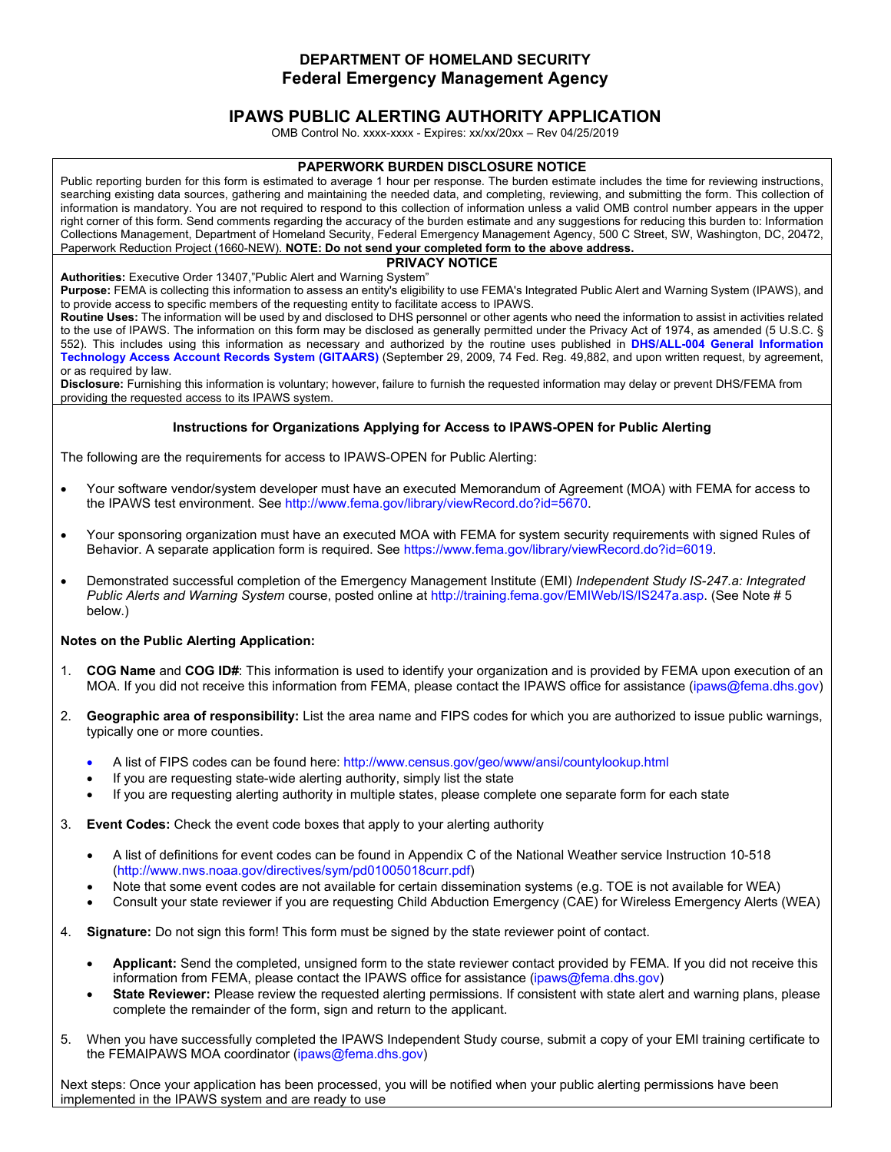## **DEPARTMENT OF HOMELAND SECURITY Federal Emergency Management Agency**

# **IPAWS PUBLIC ALERTING AUTHORITY APPLICATION**

OMB Control No. xxxx-xxxx - Expires: xx/xx/20xx – Rev 04/25/2019

### **PAPERWORK BURDEN DISCLOSURE NOTICE**

Public reporting burden for this form is estimated to average 1 hour per response. The burden estimate includes the time for reviewing instructions, searching existing data sources, gathering and maintaining the needed data, and completing, reviewing, and submitting the form. This collection of information is mandatory. You are not required to respond to this collection of information unless a valid OMB control number appears in the upper right corner of this form. Send comments regarding the accuracy of the burden estimate and any suggestions for reducing this burden to: Information Collections Management, Department of Homeland Security, Federal Emergency Management Agency, 500 C Street, SW, Washington, DC, 20472, Paperwork Reduction Project (1660-NEW). **NOTE: Do not send your completed form to the above address.** 

#### **PRIVACY NOTICE**

**Authorities:** Executive Order 13407,"Public Alert and Warning System"

**Purpose:** FEMA is collecting this information to assess an entity's eligibility to use FEMA's Integrated Public Alert and Warning System (IPAWS), and to provide access to specific members of the requesting entity to facilitate access to IPAWS.

**Routine Uses:** The information will be used by and disclosed to DHS personnel or other agents who need the information to assist in activities related to the use of IPAWS. The information on this form may be disclosed as generally permitted under the Privacy Act of 1974, as amended (5 U.S.C. § 552). This includes using this information as necessary and authorized by the routine uses published in **DHS/ALL-004 General Information Technology Access Account Records System (GITAARS)** (September 29, 2009, 74 Fed. Reg. 49,882, and upon written request, by agreement, or as required by law.

**Disclosure:** Furnishing this information is voluntary; however, failure to furnish the requested information may delay or prevent DHS/FEMA from providing the requested access to its IPAWS system.

## **Instructions for Organizations Applying for Access to IPAWS-OPEN for Public Alerting**

The following are the requirements for access to IPAWS-OPEN for Public Alerting:

- Your software vendor/system developer must have an executed Memorandum of Agreement (MOA) with FEMA for access to the IPAWS test environment. See http://www.fema.gov/library/viewRecord.do?id=5670.
- Your sponsoring organization must have an executed MOA with FEMA for system security requirements with signed Rules of Behavior. A separate application form is required. See https://www.fema.gov/library/viewRecord.do?id=6019.
- Demonstrated successful completion of the Emergency Management Institute (EMI) *Independent Study IS-247.a: Integrated Public Alerts and Warning System* course, posted online at http://training.fema.gov/EMIWeb/IS/IS247a.asp. (See Note # 5 below.)

## **Notes on the Public Alerting Application:**

- 1. **COG Name** and **COG ID#**: This information is used to identify your organization and is provided by FEMA upon execution of an MOA. If you did not receive this information from FEMA, please contact the IPAWS office for assistance (ipaws@fema.dhs.gov)
- 2. **Geographic area of responsibility:** List the area name and FIPS codes for which you are authorized to issue public warnings, typically one or more counties.
	- A list of FIPS codes can be found here: http://www.census.gov/geo/www/ansi/countylookup.html
	- If you are requesting state-wide alerting authority, simply list the state
	- If you are requesting alerting authority in multiple states, please complete one separate form for each state
- 3. **Event Codes:** Check the event code boxes that apply to your alerting authority
	- A list of definitions for event codes can be found in Appendix C of the National Weather service Instruction 10-518 (http://www.nws.noaa.gov/directives/sym/pd01005018curr.pdf)
	- Note that some event codes are not available for certain dissemination systems (e.g. TOE is not available for WEA)
	- Consult your state reviewer if you are requesting Child Abduction Emergency (CAE) for Wireless Emergency Alerts (WEA)
- 4. **Signature:** Do not sign this form! This form must be signed by the state reviewer point of contact.
	- **Applicant:** Send the completed, unsigned form to the state reviewer contact provided by FEMA. If you did not receive this information from FEMA, please contact the IPAWS office for assistance (ipaws@fema.dhs.gov)
	- **State Reviewer:** Please review the requested alerting permissions. If consistent with state alert and warning plans, please complete the remainder of the form, sign and return to the applicant.
- 5. When you have successfully completed the IPAWS Independent Study course, submit a copy of your EMI training certificate to the FEMAIPAWS MOA coordinator (ipaws@fema.dhs.gov)

Next steps: Once your application has been processed, you will be notified when your public alerting permissions have been implemented in the IPAWS system and are ready to use